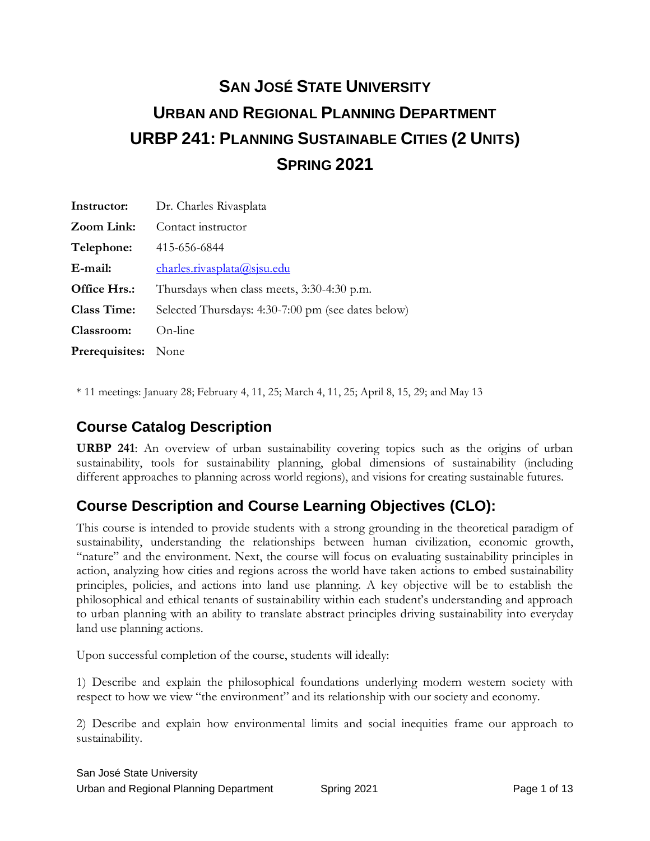# **SAN JOSÉ STATE UNIVERSITY URBAN AND REGIONAL PLANNING DEPARTMENT URBP 241: PLANNING SUSTAINABLE CITIES (2 UNITS) SPRING 2021**

| Instructor:                | Dr. Charles Rivasplata                             |
|----------------------------|----------------------------------------------------|
| Zoom Link:                 | Contact instructor                                 |
| Telephone:                 | 415-656-6844                                       |
| E-mail:                    | <u>charles.rivasplata@sisu.edu</u>                 |
| Office Hrs.:               | Thursdays when class meets, 3:30-4:30 p.m.         |
| <b>Class Time:</b>         | Selected Thursdays: 4:30-7:00 pm (see dates below) |
| Classroom:                 | On-line                                            |
| <b>Prerequisites:</b> None |                                                    |

\* 11 meetings: January 28; February 4, 11, 25; March 4, 11, 25; April 8, 15, 29; and May 13

### **Course Catalog Description**

**URBP 241**: An overview of urban sustainability covering topics such as the origins of urban sustainability, tools for sustainability planning, global dimensions of sustainability (including different approaches to planning across world regions), and visions for creating sustainable futures.

### **Course Description and Course Learning Objectives (CLO):**

This course is intended to provide students with a strong grounding in the theoretical paradigm of sustainability, understanding the relationships between human civilization, economic growth, "nature" and the environment. Next, the course will focus on evaluating sustainability principles in action, analyzing how cities and regions across the world have taken actions to embed sustainability principles, policies, and actions into land use planning. A key objective will be to establish the philosophical and ethical tenants of sustainability within each student's understanding and approach to urban planning with an ability to translate abstract principles driving sustainability into everyday land use planning actions.

Upon successful completion of the course, students will ideally:

1) Describe and explain the philosophical foundations underlying modern western society with respect to how we view "the environment" and its relationship with our society and economy.

2) Describe and explain how environmental limits and social inequities frame our approach to sustainability.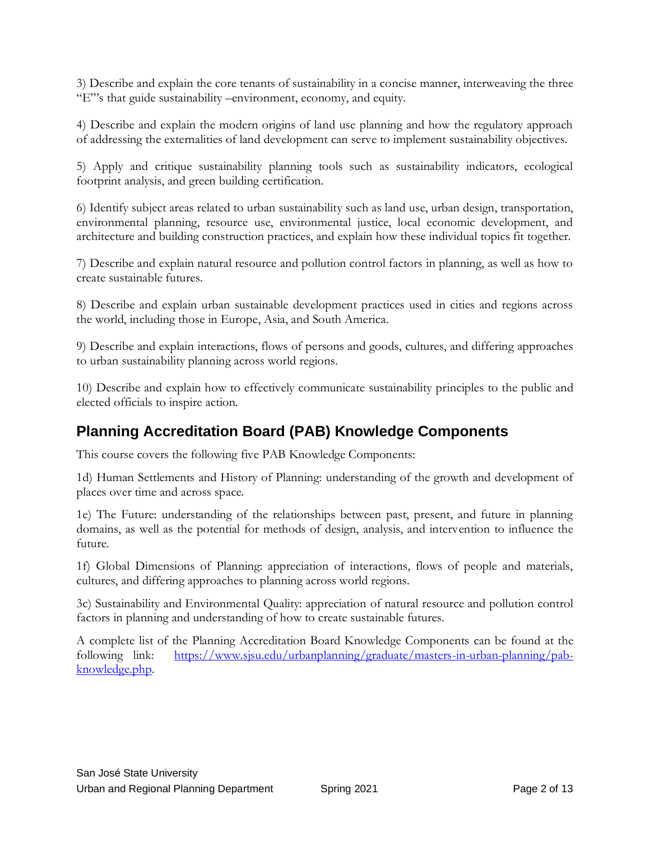3) Describe and explain the core tenants of sustainability in a concise manner, interweaving the three "E"'s that guide sustainability –environment, economy, and equity.

4) Describe and explain the modern origins of land use planning and how the regulatory approach of addressing the externalities of land development can serve to implement sustainability objectives.

5) Apply and critique sustainability planning tools such as sustainability indicators, ecological footprint analysis, and green building certification.

6) Identify subject areas related to urban sustainability such as land use, urban design, transportation, environmental planning, resource use, environmental justice, local economic development, and architecture and building construction practices, and explain how these individual topics fit together.

7) Describe and explain natural resource and pollution control factors in planning, as well as how to create sustainable futures.

8) Describe and explain urban sustainable development practices used in cities and regions across the world, including those in Europe, Asia, and South America.

9) Describe and explain interactions, flows of persons and goods, cultures, and differing approaches to urban sustainability planning across world regions.

10) Describe and explain how to effectively communicate sustainability principles to the public and elected officials to inspire action.

### **Planning Accreditation Board (PAB) Knowledge Components**

This course covers the following five PAB Knowledge Components:

1d) Human Settlements and History of Planning: understanding of the growth and development of places over time and across space.

1e) The Future: understanding of the relationships between past, present, and future in planning domains, as well as the potential for methods of design, analysis, and intervention to influence the future.

1f) Global Dimensions of Planning: appreciation of interactions, flows of people and materials, cultures, and differing approaches to planning across world regions.

3c) Sustainability and Environmental Quality: appreciation of natural resource and pollution control factors in planning and understanding of how to create sustainable futures.

A complete list of the Planning Accreditation Board Knowledge Components can be found at the following link: [https://www.sjsu.edu/urbanplanning/graduate/masters-in-urban-planning/pab](https://www.sjsu.edu/urbanplanning/graduate/masters-in-urban-planning/pab-knowledge.php)[knowledge.php.](https://www.sjsu.edu/urbanplanning/graduate/masters-in-urban-planning/pab-knowledge.php)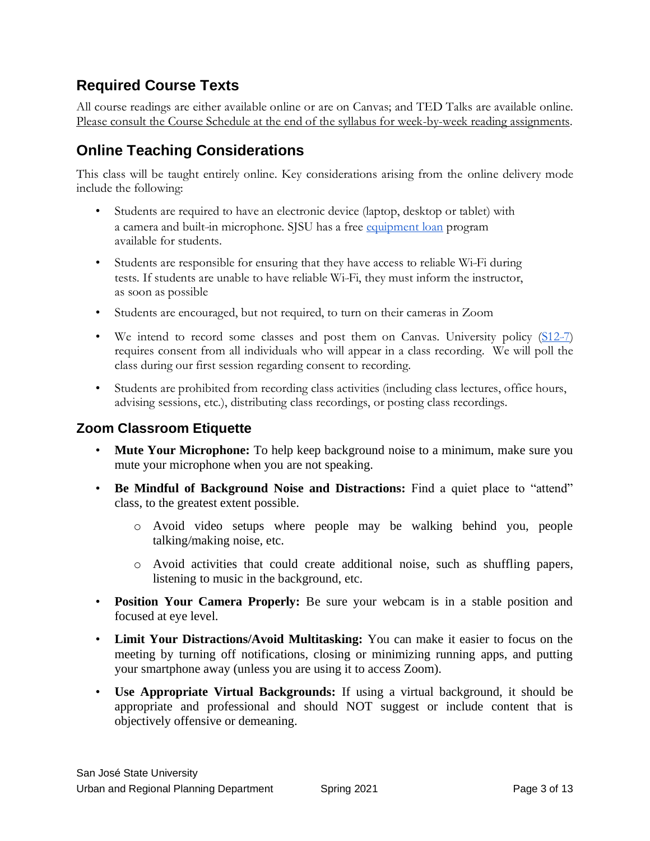### **Required Course Texts**

All course readings are either available online or are on Canvas; and TED Talks are available online. Please consult the Course Schedule at the end of the syllabus for week-by-week reading assignments.

# **Online Teaching Considerations**

This class will be taught entirely online. Key considerations arising from the online delivery mode include the following:

- Students are required to have an electronic device (laptop, desktop or tablet) with a camera and built-in microphone. SISU has a free [equipment loan](https://www.sjsu.edu/learnanywhere/equipment/index.php) program available for students.
- Students are responsible for ensuring that they have access to reliable Wi-Fi during tests. If students are unable to have reliable Wi-Fi, they must inform the instructor, as soon as possible
- Students are encouraged, but not required, to turn on their cameras in Zoom
- We intend to record some classes and post them on Canvas. University policy  $(S12-7)$ requires consent from all individuals who will appear in a class recording. We will poll the class during our first session regarding consent to recording.
- Students are prohibited from recording class activities (including class lectures, office hours, advising sessions, etc.), distributing class recordings, or posting class recordings.

### **Zoom Classroom Etiquette**

- **Mute Your Microphone:** To help keep background noise to a minimum, make sure you mute your microphone when you are not speaking.
- **Be Mindful of Background Noise and Distractions:** Find a quiet place to "attend" class, to the greatest extent possible.
	- o Avoid video setups where people may be walking behind you, people talking/making noise, etc.
	- o Avoid activities that could create additional noise, such as shuffling papers, listening to music in the background, etc.
- **Position Your Camera Properly:** Be sure your webcam is in a stable position and focused at eye level.
- **Limit Your Distractions/Avoid Multitasking:** You can make it easier to focus on the meeting by turning off notifications, closing or minimizing running apps, and putting your smartphone away (unless you are using it to access Zoom).
- **Use Appropriate Virtual Backgrounds:** If using a virtual background, it should be appropriate and professional and should NOT suggest or include content that is objectively offensive or demeaning.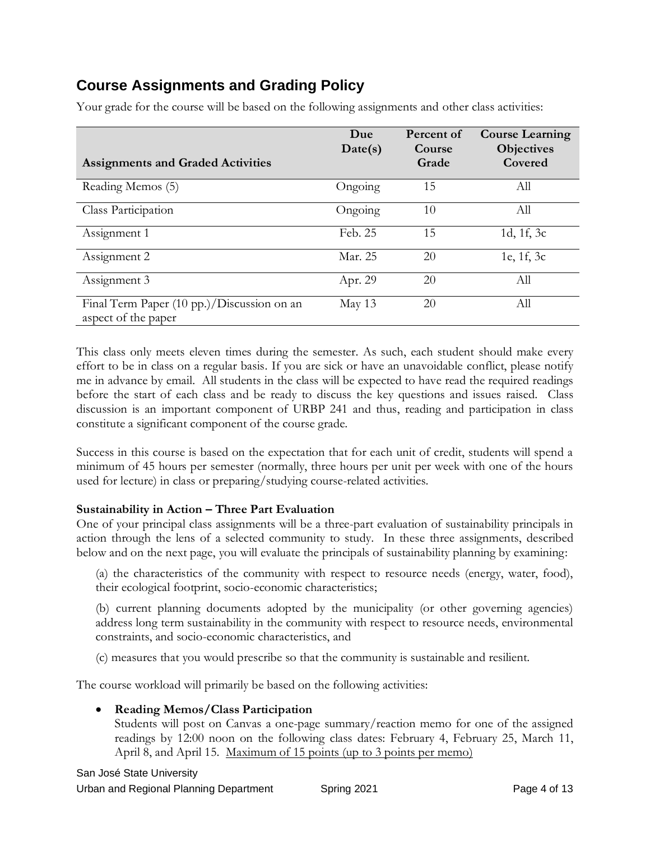## **Course Assignments and Grading Policy**

| <b>Assignments and Graded Activities</b>                          | Due<br>Date(s) | Percent of<br>Course<br>Grade | <b>Course Learning</b><br><b>Objectives</b><br>Covered |
|-------------------------------------------------------------------|----------------|-------------------------------|--------------------------------------------------------|
| Reading Memos (5)                                                 | Ongoing        | 15                            | All                                                    |
| Class Participation                                               | Ongoing        | 10                            | All                                                    |
| Assignment 1                                                      | Feb. 25        | 15                            | 1d, 1f, 3c                                             |
| Assignment 2                                                      | Mar. 25        | 20                            | 1e, 1f, 3c                                             |
| Assignment 3                                                      | Apr. 29        | 20                            | All                                                    |
| Final Term Paper (10 pp.)/Discussion on an<br>aspect of the paper | May 13         | 20                            | All                                                    |

Your grade for the course will be based on the following assignments and other class activities:

This class only meets eleven times during the semester. As such, each student should make every effort to be in class on a regular basis. If you are sick or have an unavoidable conflict, please notify me in advance by email. All students in the class will be expected to have read the required readings before the start of each class and be ready to discuss the key questions and issues raised. Class discussion is an important component of URBP 241 and thus, reading and participation in class constitute a significant component of the course grade.

Success in this course is based on the expectation that for each unit of credit, students will spend a minimum of 45 hours per semester (normally, three hours per unit per week with one of the hours used for lecture) in class or preparing/studying course-related activities.

#### **Sustainability in Action – Three Part Evaluation**

One of your principal class assignments will be a three-part evaluation of sustainability principals in action through the lens of a selected community to study. In these three assignments, described below and on the next page, you will evaluate the principals of sustainability planning by examining:

(a) the characteristics of the community with respect to resource needs (energy, water, food), their ecological footprint, socio-economic characteristics;

(b) current planning documents adopted by the municipality (or other governing agencies) address long term sustainability in the community with respect to resource needs, environmental constraints, and socio-economic characteristics, and

(c) measures that you would prescribe so that the community is sustainable and resilient.

The course workload will primarily be based on the following activities:

#### • **Reading Memos/Class Participation**

Students will post on Canvas a one-page summary/reaction memo for one of the assigned readings by 12:00 noon on the following class dates: February 4, February 25, March 11, April 8, and April 15. Maximum of 15 points (up to 3 points per memo)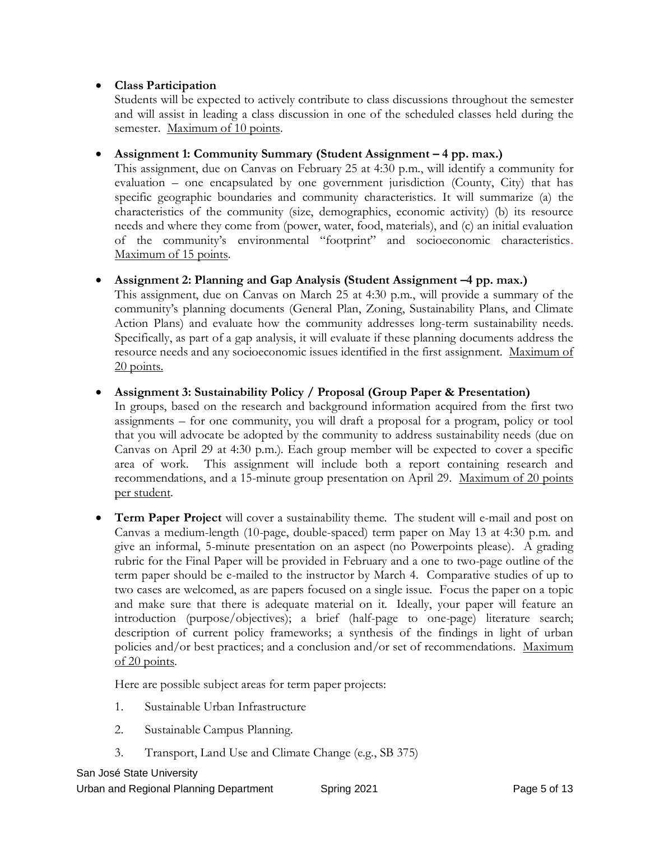#### • **Class Participation**

Students will be expected to actively contribute to class discussions throughout the semester and will assist in leading a class discussion in one of the scheduled classes held during the semester. Maximum of 10 points.

#### • **Assignment 1: Community Summary (Student Assignment – 4 pp. max.)**

This assignment, due on Canvas on February 25 at 4:30 p.m., will identify a community for evaluation – one encapsulated by one government jurisdiction (County, City) that has specific geographic boundaries and community characteristics. It will summarize (a) the characteristics of the community (size, demographics, economic activity) (b) its resource needs and where they come from (power, water, food, materials), and (c) an initial evaluation of the community's environmental "footprint" and socioeconomic characteristics. Maximum of 15 points.

#### • **Assignment 2: Planning and Gap Analysis (Student Assignment –4 pp. max.)**

This assignment, due on Canvas on March 25 at 4:30 p.m., will provide a summary of the community's planning documents (General Plan, Zoning, Sustainability Plans, and Climate Action Plans) and evaluate how the community addresses long-term sustainability needs. Specifically, as part of a gap analysis, it will evaluate if these planning documents address the resource needs and any socioeconomic issues identified in the first assignment. Maximum of 20 points.

#### • **Assignment 3: Sustainability Policy / Proposal (Group Paper & Presentation)**

In groups, based on the research and background information acquired from the first two assignments – for one community, you will draft a proposal for a program, policy or tool that you will advocate be adopted by the community to address sustainability needs (due on Canvas on April 29 at 4:30 p.m.). Each group member will be expected to cover a specific area of work. This assignment will include both a report containing research and recommendations, and a 15-minute group presentation on April 29. Maximum of 20 points per student.

• **Term Paper Project** will cover a sustainability theme. The student will e-mail and post on Canvas a medium-length (10-page, double-spaced) term paper on May 13 at 4:30 p.m. and give an informal, 5-minute presentation on an aspect (no Powerpoints please). A grading rubric for the Final Paper will be provided in February and a one to two-page outline of the term paper should be e-mailed to the instructor by March 4. Comparative studies of up to two cases are welcomed, as are papers focused on a single issue. Focus the paper on a topic and make sure that there is adequate material on it. Ideally, your paper will feature an introduction (purpose/objectives); a brief (half-page to one-page) literature search; description of current policy frameworks; a synthesis of the findings in light of urban policies and/or best practices; and a conclusion and/or set of recommendations. Maximum of 20 points.

Here are possible subject areas for term paper projects:

- 1. Sustainable Urban Infrastructure
- 2. Sustainable Campus Planning.
- 3. Transport, Land Use and Climate Change (e.g., SB 375)

### San José State University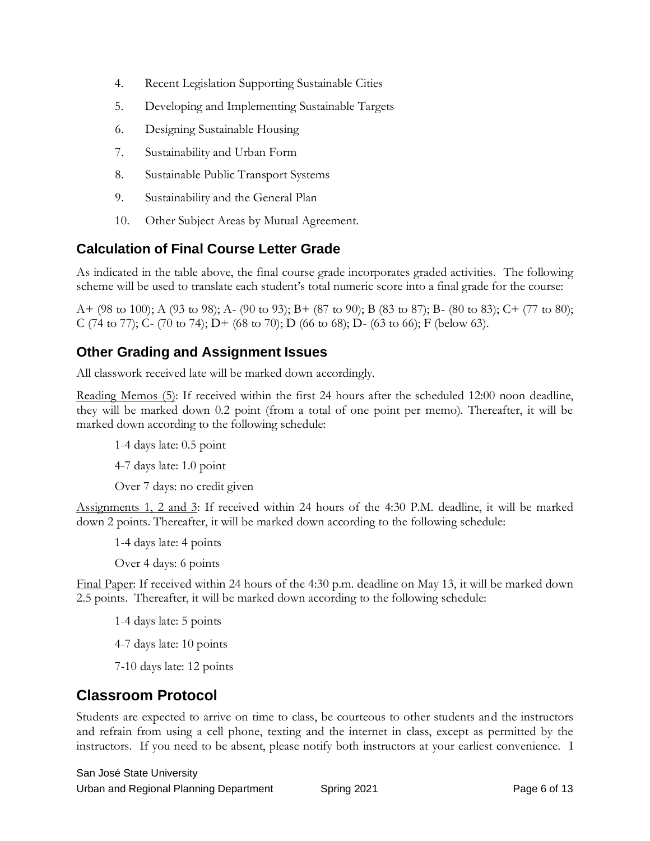- 4. Recent Legislation Supporting Sustainable Cities
- 5. Developing and Implementing Sustainable Targets
- 6. Designing Sustainable Housing
- 7. Sustainability and Urban Form
- 8. Sustainable Public Transport Systems
- 9. Sustainability and the General Plan
- 10. Other Subject Areas by Mutual Agreement.

### **Calculation of Final Course Letter Grade**

As indicated in the table above, the final course grade incorporates graded activities. The following scheme will be used to translate each student's total numeric score into a final grade for the course:

A+ (98 to 100); A (93 to 98); A- (90 to 93); B+ (87 to 90); B (83 to 87); B- (80 to 83); C+ (77 to 80); C (74 to 77); C- (70 to 74); D+ (68 to 70); D (66 to 68); D- (63 to 66); F (below 63).

### **Other Grading and Assignment Issues**

All classwork received late will be marked down accordingly.

Reading Memos (5): If received within the first 24 hours after the scheduled 12:00 noon deadline, they will be marked down 0.2 point (from a total of one point per memo). Thereafter, it will be marked down according to the following schedule:

1-4 days late: 0.5 point

4-7 days late: 1.0 point

Over 7 days: no credit given

Assignments 1, 2 and 3: If received within 24 hours of the 4:30 P.M. deadline, it will be marked down 2 points. Thereafter, it will be marked down according to the following schedule:

1-4 days late: 4 points

Over 4 days: 6 points

Final Paper: If received within 24 hours of the 4:30 p.m. deadline on May 13, it will be marked down 2.5 points. Thereafter, it will be marked down according to the following schedule:

1-4 days late: 5 points

4-7 days late: 10 points

7-10 days late: 12 points

### **Classroom Protocol**

Students are expected to arrive on time to class, be courteous to other students and the instructors and refrain from using a cell phone, texting and the internet in class, except as permitted by the instructors. If you need to be absent, please notify both instructors at your earliest convenience. I

San José State University Urban and Regional Planning Department Spring 2021 Spring 2021 Page 6 of 13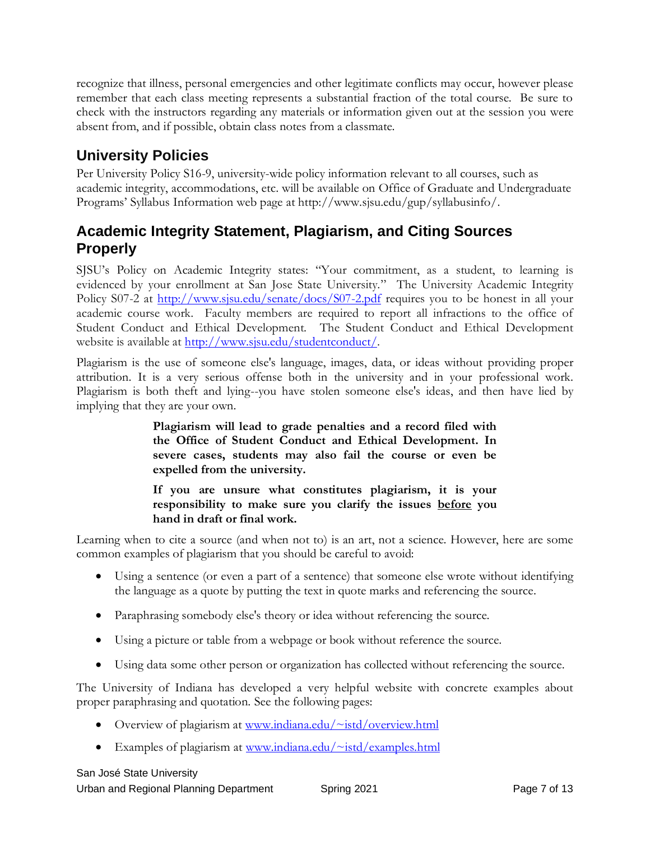recognize that illness, personal emergencies and other legitimate conflicts may occur, however please remember that each class meeting represents a substantial fraction of the total course. Be sure to check with the instructors regarding any materials or information given out at the session you were absent from, and if possible, obtain class notes from a classmate.

### **University Policies**

Per University Policy S16-9, university-wide policy information relevant to all courses, such as academic integrity, accommodations, etc. will be available on Office of Graduate and Undergraduate Programs' Syllabus Information web page at http://www.sjsu.edu/gup/syllabusinfo/.

### **Academic Integrity Statement, Plagiarism, and Citing Sources Properly**

SJSU's Policy on Academic Integrity states: "Your commitment, as a student, to learning is evidenced by your enrollment at San Jose State University." The [University Academic Integrity](http://www.sjsu.edu/senate/docs/S07-2.pdf)  [Policy S07-2](http://www.sjsu.edu/senate/docs/S07-2.pdf) at<http://www.sjsu.edu/senate/docs/S07-2.pdf> requires you to be honest in all your academic course work. Faculty members are required to report all infractions to the office of Student Conduct and Ethical Development. The [Student Conduct and Ethical Development](http://www.sjsu.edu/studentconduct/)  [website](http://www.sjsu.edu/studentconduct/) is available at [http://www.sjsu.edu/studentconduct/.](http://www.sjsu.edu/studentconduct/)

Plagiarism is the use of someone else's language, images, data, or ideas without providing proper attribution. It is a very serious offense both in the university and in your professional work. Plagiarism is both theft and lying--you have stolen someone else's ideas, and then have lied by implying that they are your own.

> **Plagiarism will lead to grade penalties and a record filed with the Office of Student Conduct and Ethical Development. In severe cases, students may also fail the course or even be expelled from the university.**

> **If you are unsure what constitutes plagiarism, it is your responsibility to make sure you clarify the issues before you hand in draft or final work.**

Learning when to cite a source (and when not to) is an art, not a science. However, here are some common examples of plagiarism that you should be careful to avoid:

- Using a sentence (or even a part of a sentence) that someone else wrote without identifying the language as a quote by putting the text in quote marks and referencing the source.
- Paraphrasing somebody else's theory or idea without referencing the source.
- Using a picture or table from a webpage or book without reference the source.
- Using data some other person or organization has collected without referencing the source.

The University of Indiana has developed a very helpful website with concrete examples about proper paraphrasing and quotation. See the following pages:

- Overview of plagiarism at [www.indiana.edu/~istd/overview.html](http://www.indiana.edu/~istd/overview.html)
- Examples of plagiarism at [www.indiana.edu/~istd/examples.html](http://www.indiana.edu/~istd/examples.html)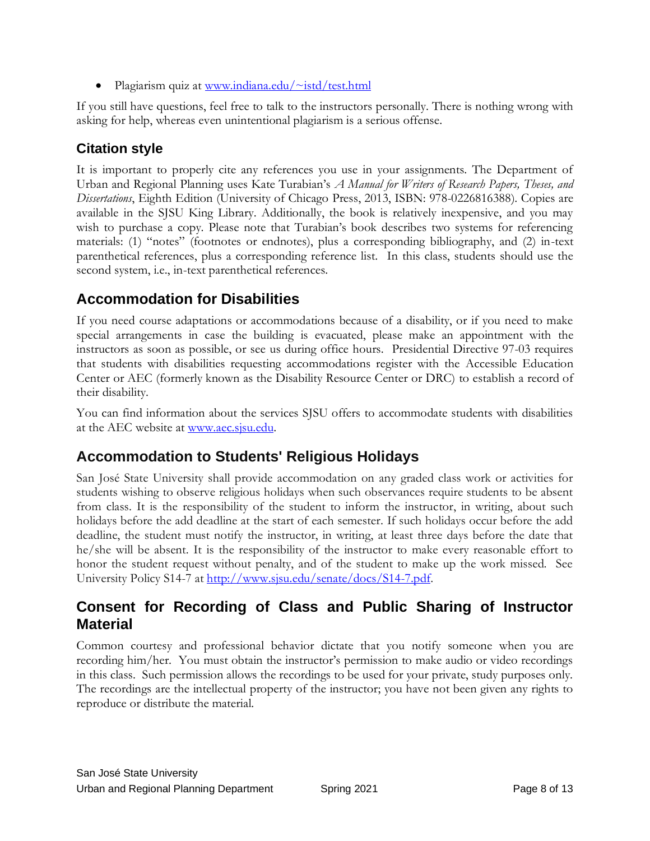Plagiarism quiz at [www.indiana.edu/~istd/test.html](http://www.indiana.edu/~istd/test.html)

If you still have questions, feel free to talk to the instructors personally. There is nothing wrong with asking for help, whereas even unintentional plagiarism is a serious offense.

### **Citation style**

It is important to properly cite any references you use in your assignments. The Department of Urban and Regional Planning uses Kate Turabian's *A Manual for Writers of Research Papers, Theses, and Dissertations*, Eighth Edition (University of Chicago Press, 2013, ISBN: 978-0226816388). Copies are available in the SJSU King Library. Additionally, the book is relatively inexpensive, and you may wish to purchase a copy. Please note that Turabian's book describes two systems for referencing materials: (1) "notes" (footnotes or endnotes), plus a corresponding bibliography, and (2) in-text parenthetical references, plus a corresponding reference list. In this class, students should use the second system, i.e., in-text parenthetical references.

### **Accommodation for Disabilities**

If you need course adaptations or accommodations because of a disability, or if you need to make special arrangements in case the building is evacuated, please make an appointment with the instructors as soon as possible, or see us during office hours. Presidential Directive 97-03 requires that students with disabilities requesting accommodations register with the Accessible Education Center or AEC (formerly known as the Disability Resource Center or DRC) to establish a record of their disability.

You can find information about the services SJSU offers to accommodate students with disabilities at the AEC website a[t www.aec.sjsu.edu.](http://www.aec.sjsu.edu/)

### **Accommodation to Students' Religious Holidays**

San José State University shall provide accommodation on any graded class work or activities for students wishing to observe religious holidays when such observances require students to be absent from class. It is the responsibility of the student to inform the instructor, in writing, about such holidays before the add deadline at the start of each semester. If such holidays occur before the add deadline, the student must notify the instructor, in writing, at least three days before the date that he/she will be absent. It is the responsibility of the instructor to make every reasonable effort to honor the student request without penalty, and of the student to make up the work missed. See [University Policy S14-7](http://www.sjsu.edu/senate/docs/S14-7.pdf) a[t http://www.sjsu.edu/senate/docs/S14-7.pdf.](http://www.sjsu.edu/senate/docs/S14-7.pdf)

### **Consent for Recording of Class and Public Sharing of Instructor Material**

Common courtesy and professional behavior dictate that you notify someone when you are recording him/her. You must obtain the instructor's permission to make audio or video recordings in this class. Such permission allows the recordings to be used for your private, study purposes only. The recordings are the intellectual property of the instructor; you have not been given any rights to reproduce or distribute the material.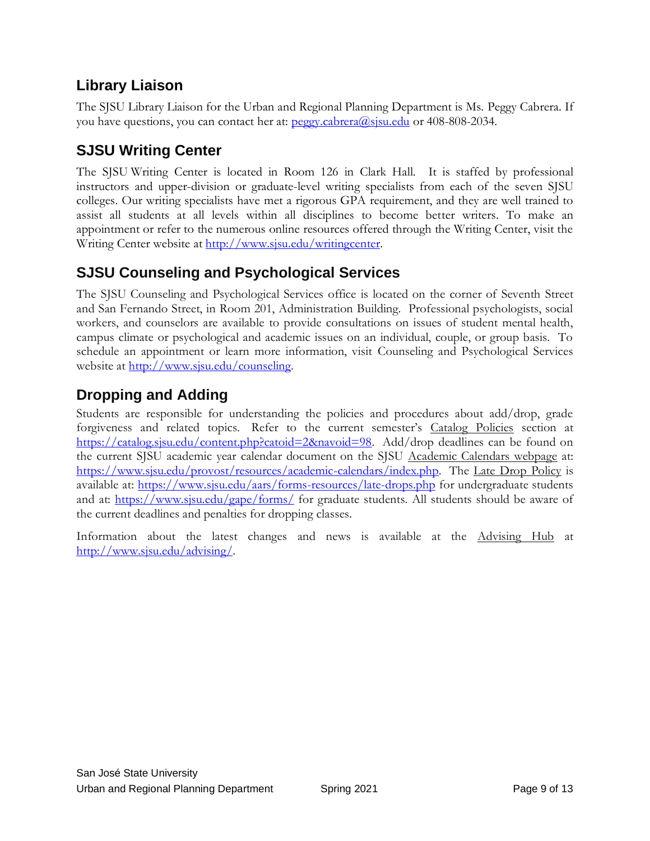# **Library Liaison**

The SJSU Library Liaison for the Urban and Regional Planning Department is Ms. Peggy Cabrera. If you have questions, you can contact her at: peggy.cabrera@sisu.edu or 408-808-2034.

# **SJSU Writing Center**

The SJSU Writing Center is located in Room 126 in Clark Hall. It is staffed by professional instructors and upper-division or graduate-level writing specialists from each of the seven SJSU colleges. Our writing specialists have met a rigorous GPA requirement, and they are well trained to assist all students at all levels within all disciplines to become better writers. To make an appointment or refer to the numerous online resources offered through the Writing Center, visit the Writing Center website at [http://www.sjsu.edu/writingcenter.](http://www.sjsu.edu/writingcenter)

# **SJSU Counseling and Psychological Services**

The SJSU Counseling and Psychological Services office is located on the corner of Seventh Street and San Fernando Street, in Room 201, Administration Building. Professional psychologists, social workers, and counselors are available to provide consultations on issues of student mental health, campus climate or psychological and academic issues on an individual, couple, or group basis. To schedule an appointment or learn more information, visit [Counseling and Psychological Services](http://www.sjsu.edu/counseling)  [website](http://www.sjsu.edu/counseling) at [http://www.sjsu.edu/counseling.](http://www.sjsu.edu/counseling)

# **Dropping and Adding**

Students are responsible for understanding the policies and procedures about add/drop, grade forgiveness and related topics. Refer to the current semester's [Catalog Policies](http://info.sjsu.edu/static/catalog/policies.html) section at [https://catalog.sjsu.edu/content.php?catoid=2&navoid=98.](https://catalog.sjsu.edu/content.php?catoid=2&navoid=98) Add/drop deadlines can be found on the current SJSU academic year calendar document on the SJSU [Academic Calendars webpage](http://www.sjsu.edu/provost/services/academic_calendars/) at: [https://www.sjsu.edu/provost/resources/academic-calendars/index.php.](https://www.sjsu.edu/provost/resources/academic-calendars/index.php) The [Late Drop Policy](http://www.sjsu.edu/aars/policies/latedrops/policy/) is available at:<https://www.sjsu.edu/aars/forms-resources/late-drops.php> for undergraduate students and at:<https://www.sjsu.edu/gape/forms/> for graduate students. All students should be aware of the current deadlines and penalties for dropping classes.

Information about the latest changes and news is available at the [Advising Hub](http://www.sjsu.edu/advising/) at [http://www.sjsu.edu/advising/.](http://www.sjsu.edu/advising/)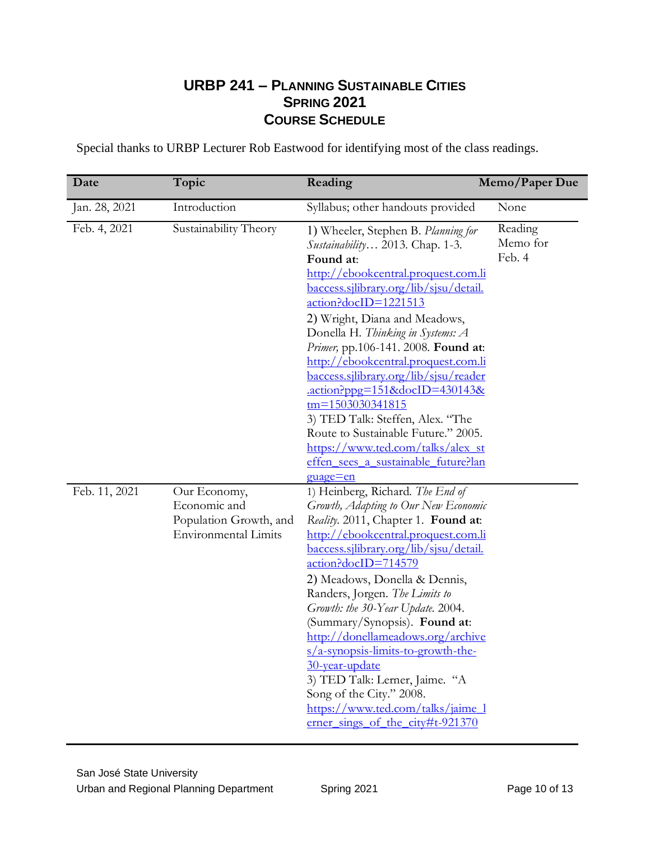### **URBP 241 – PLANNING SUSTAINABLE CITIES SPRING 2021 COURSE SCHEDULE**

Special thanks to URBP Lecturer Rob Eastwood for identifying most of the class readings.

| Date          | Topic                                                                                 | Reading                                                                                                                                                                                                                                                                                                                                                                                                                                                                                                                                                                                                                                       | Memo/Paper Due                |
|---------------|---------------------------------------------------------------------------------------|-----------------------------------------------------------------------------------------------------------------------------------------------------------------------------------------------------------------------------------------------------------------------------------------------------------------------------------------------------------------------------------------------------------------------------------------------------------------------------------------------------------------------------------------------------------------------------------------------------------------------------------------------|-------------------------------|
| Jan. 28, 2021 | Introduction                                                                          | Syllabus; other handouts provided                                                                                                                                                                                                                                                                                                                                                                                                                                                                                                                                                                                                             | None                          |
| Feb. 4, 2021  | Sustainability Theory                                                                 | 1) Wheeler, Stephen B. Planning for<br>Sustainability 2013. Chap. 1-3.<br>Found at:<br>http://ebookcentral.proquest.com.li<br><u>baccess.silibrary.org/lib/sisu/detail.</u><br>action?docID=1221513<br>2) Wright, Diana and Meadows,<br>Donella H. Thinking in Systems: A<br>Primer, pp.106-141. 2008. Found at:<br>http://ebookcentral.proquest.com.li<br><u>baccess.sjlibrary.org/lib/sjsu/reader</u><br>$\frac{\text{action?ppg}=151\&\text{docID}=430143\&}{}$<br>tm=1503030341815<br>3) TED Talk: Steffen, Alex. "The<br>Route to Sustainable Future." 2005.<br>https://www.ted.com/talks/alex_st<br>effen sees a sustainable future?lan | Reading<br>Memo for<br>Feb. 4 |
| Feb. 11, 2021 | Our Economy,<br>Economic and<br>Population Growth, and<br><b>Environmental Limits</b> | guage=en<br>1) Heinberg, Richard. The End of<br>Growth, Adapting to Our New Economic<br>Reality. 2011, Chapter 1. Found at:<br>http://ebookcentral.proquest.com.li<br>baccess.sjlibrary.org/lib/sjsu/detail.<br>$\arctan$ ?docID=714579<br>2) Meadows, Donella & Dennis,<br>Randers, Jorgen. The Limits to<br>Growth: the 30-Year Update. 2004.<br>(Summary/Synopsis). Found at:<br>http://donellameadows.org/archive<br>$s/a$ -synopsis-limits-to-growth-the-<br>30-year-update<br>3) TED Talk: Lerner, Jaime. "A<br>Song of the City." 2008.<br>https://www.ted.com/talks/jaime 1<br>erner sings of the city#t-921370                       |                               |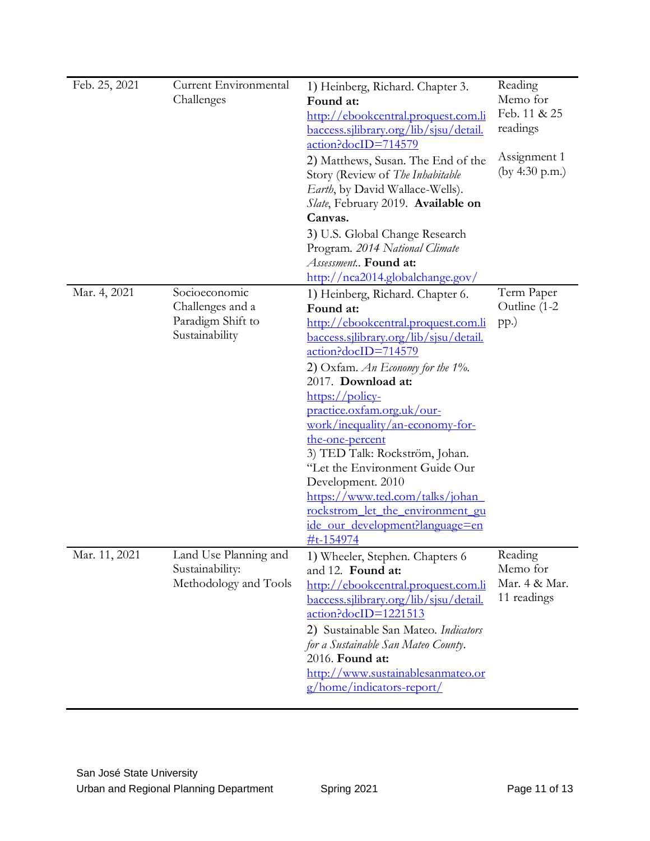| Feb. 25, 2021 | Current Environmental<br>Challenges                                      | 1) Heinberg, Richard. Chapter 3.<br>Found at:<br>http://ebookcentral.proquest.com.li<br><u>baccess.silibrary.org/lib/sisu/detail.</u><br>action?docID=714579<br>2) Matthews, Susan. The End of the<br>Story (Review of The Inhabitable<br>Earth, by David Wallace-Wells).<br>Slate, February 2019. Available on<br>Canvas.<br>3) U.S. Global Change Research<br>Program. 2014 National Climate<br>Assessment Found at:<br>http://nca2014.globalchange.gov/                                                                                                                                              | Reading<br>Memo for<br>Feb. 11 & 25<br>readings<br>Assignment 1<br>(by 4:30 p.m.) |
|---------------|--------------------------------------------------------------------------|---------------------------------------------------------------------------------------------------------------------------------------------------------------------------------------------------------------------------------------------------------------------------------------------------------------------------------------------------------------------------------------------------------------------------------------------------------------------------------------------------------------------------------------------------------------------------------------------------------|-----------------------------------------------------------------------------------|
| Mar. 4, 2021  | Socioeconomic<br>Challenges and a<br>Paradigm Shift to<br>Sustainability | 1) Heinberg, Richard. Chapter 6.<br>Found at:<br><u> http://ebookcentral.proquest.com.li</u><br>baccess.sjlibrary.org/lib/sjsu/detail.<br>action?docID=714579<br>2) Oxfam. An Economy for the $1\%$ .<br>2017. Download at:<br>$\frac{\text{https://policy-}}{\text{http://policy-}}$<br>practice.oxfam.org.uk/our-<br>work/inequality/an-economy-for-<br>the-one-percent<br>3) TED Talk: Rockström, Johan.<br>"Let the Environment Guide Our<br>Development. 2010<br>https://www.ted.com/talks/johan<br><u>rockstrom let the environment gu</u><br>ide_our_development?language=en<br><u>#t-154974</u> | Term Paper<br>Outline (1-2<br>$pp.$ )                                             |
| Mar. 11, 2021 | Land Use Planning and<br>Sustainability:<br>Methodology and Tools        | 1) Wheeler, Stephen. Chapters 6<br>and 12. Found at:<br>http://ebookcentral.proquest.com.li<br><u>baccess.sjlibrary.org/lib/sjsu/detail.</u><br>action?docID=1221513<br>2) Sustainable San Mateo. Indicators<br>for a Sustainable San Mateo County.<br>2016. Found at:<br>http://www.sustainablesanmateo.or<br>g/home/indicators-report/                                                                                                                                                                                                                                                                | Reading<br>Memo for<br>Mar. 4 & Mar.<br>11 readings                               |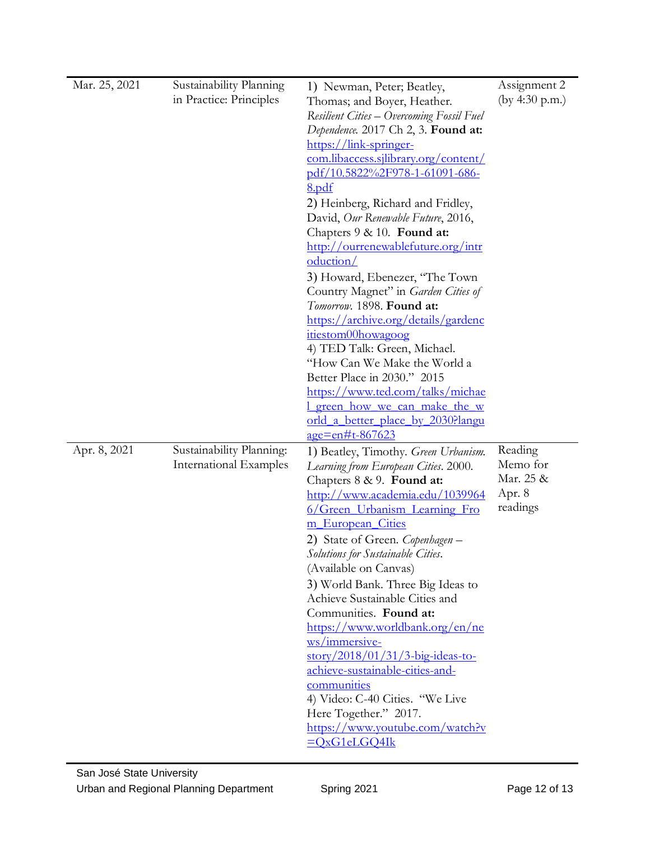| Mar. 25, 2021 | Sustainability Planning<br>in Practice: Principles        | 1) Newman, Peter; Beatley,<br>Thomas; and Boyer, Heather.<br>Resilient Cities – Overcoming Fossil Fuel<br>Dependence. 2017 Ch 2, 3. Found at:<br>https://link-springer-<br>com.libaccess.sjlibrary.org/content/<br><u>pdf/10.5822%2F978-1-61091-686-</u><br><u>8.pdf</u><br>2) Heinberg, Richard and Fridley,<br>David, Our Renewable Future, 2016,<br>Chapters 9 & 10. Found at:<br>http://ourrenewablefuture.org/intr<br>oduction/<br>3) Howard, Ebenezer, "The Town<br>Country Magnet" in Garden Cities of<br>Tomorrow. 1898. Found at:<br>https://archive.org/details/gardenc<br>itiestom00howagoog<br>4) TED Talk: Green, Michael.<br>"How Can We Make the World a<br>Better Place in 2030." 2015<br>https://www.ted.com/talks/michae<br><u>I green how we can make the w</u><br><u>orld a better place by 2030?langu</u><br><u>age=en#t-867623</u> | Assignment 2<br>(by 4:30 p.m.)                         |
|---------------|-----------------------------------------------------------|----------------------------------------------------------------------------------------------------------------------------------------------------------------------------------------------------------------------------------------------------------------------------------------------------------------------------------------------------------------------------------------------------------------------------------------------------------------------------------------------------------------------------------------------------------------------------------------------------------------------------------------------------------------------------------------------------------------------------------------------------------------------------------------------------------------------------------------------------------|--------------------------------------------------------|
| Apr. 8, 2021  | Sustainability Planning:<br><b>International Examples</b> | 1) Beatley, Timothy. Green Urbanism.<br>Learning from European Cities. 2000.<br>Chapters 8 & 9. Found at:<br>http://www.academia.edu/1039964<br>6/Green Urbanism Learning Fro<br>m European Cities<br>2) State of Green. Copenhagen -<br>Solutions for Sustainable Cities.<br>(Available on Canvas)<br>3) World Bank. Three Big Ideas to<br>Achieve Sustainable Cities and<br>Communities. Found at:<br>https://www.worldbank.org/en/ne<br>ws/immersive-<br>story/2018/01/31/3-big-ideas-to-<br>achieve-sustainable-cities-and-<br>communities<br>4) Video: C-40 Cities. "We Live<br>Here Together." 2017.<br>https://www.youtube.com/watch?v<br>$=QxG1eLGQ4Ik$                                                                                                                                                                                          | Reading<br>Memo for<br>Mar. 25 &<br>Apr. 8<br>readings |